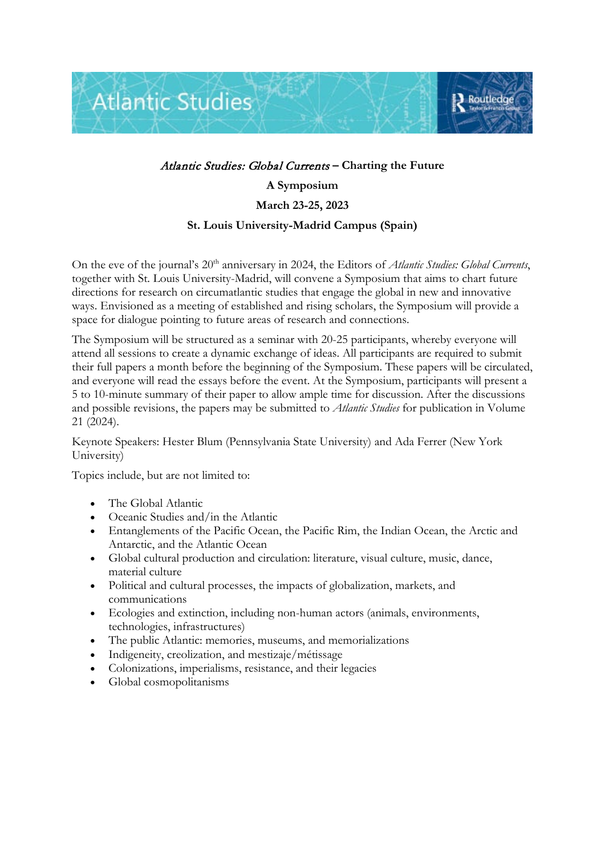

## Atlantic Studies: Global Currents **– Charting the Future A Symposium March 23-25, 2023**

## **St. Louis University-Madrid Campus (Spain)**

On the eve of the journal's 20<sup>th</sup> anniversary in 2024, the Editors of *Atlantic Studies: Global Currents*, together with St. Louis University-Madrid, will convene a Symposium that aims to chart future directions for research on circumatlantic studies that engage the global in new and innovative ways. Envisioned as a meeting of established and rising scholars, the Symposium will provide a space for dialogue pointing to future areas of research and connections.

The Symposium will be structured as a seminar with 20-25 participants, whereby everyone will attend all sessions to create a dynamic exchange of ideas. All participants are required to submit their full papers a month before the beginning of the Symposium. These papers will be circulated, and everyone will read the essays before the event. At the Symposium, participants will present a 5 to 10-minute summary of their paper to allow ample time for discussion. After the discussions and possible revisions, the papers may be submitted to *Atlantic Studies* for publication in Volume 21 (2024).

Keynote Speakers: Hester Blum (Pennsylvania State University) and Ada Ferrer (New York University)

Topics include, but are not limited to:

- The Global Atlantic
- Oceanic Studies and/in the Atlantic
- Entanglements of the Pacific Ocean, the Pacific Rim, the Indian Ocean, the Arctic and Antarctic, and the Atlantic Ocean
- Global cultural production and circulation: literature, visual culture, music, dance, material culture
- Political and cultural processes, the impacts of globalization, markets, and communications
- Ecologies and extinction, including non-human actors (animals, environments, technologies, infrastructures)
- The public Atlantic: memories, museums, and memorializations
- Indigeneity, creolization, and mestizaje/métissage
- Colonizations, imperialisms, resistance, and their legacies
- Global cosmopolitanisms